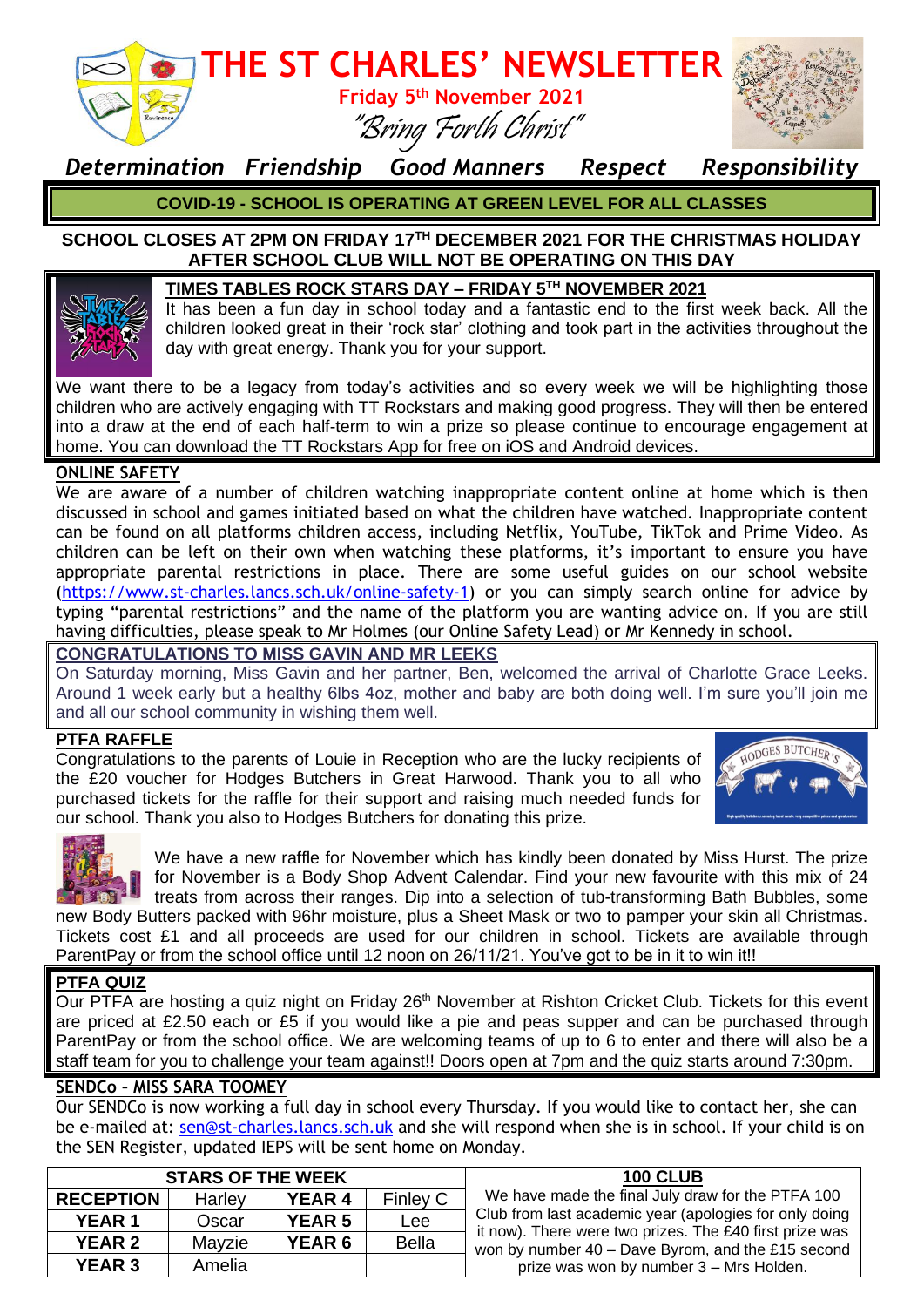

### *Determination Friendship Good Manners Respect Responsibility*

**COVID-19 - SCHOOL IS OPERATING AT GREEN LEVEL FOR ALL CLASSES**

#### **SCHOOL CLOSES AT 2PM ON FRIDAY 17TH DECEMBER 2021 FOR THE CHRISTMAS HOLIDAY AFTER SCHOOL CLUB WILL NOT BE OPERATING ON THIS DAY**



It has been a fun day in school today and a fantastic end to the first week back. All the children looked great in their 'rock star' clothing and took part in the activities throughout the day with great energy. Thank you for your support.

We want there to be a legacy from today's activities and so every week we will be highlighting those children who are actively engaging with TT Rockstars and making good progress. They will then be entered into a draw at the end of each half-term to win a prize so please continue to encourage engagement at home. You can download the TT Rockstars App for free on iOS and Android devices.

#### **ONLINE SAFETY**

We are aware of a number of children watching inappropriate content online at home which is then discussed in school and games initiated based on what the children have watched. Inappropriate content can be found on all platforms children access, including Netflix, YouTube, TikTok and Prime Video. As children can be left on their own when watching these platforms, it's important to ensure you have appropriate parental restrictions in place. There are some useful guides on our school website [\(https://www.st-charles.lancs.sch.uk/online-safety-1\)](https://www.st-charles.lancs.sch.uk/online-safety-1) or you can simply search online for advice by typing "parental restrictions" and the name of the platform you are wanting advice on. If you are still having difficulties, please speak to Mr Holmes (our Online Safety Lead) or Mr Kennedy in school.

#### **CONGRATULATIONS TO MISS GAVIN AND MR LEEKS**

On Saturday morning, Miss Gavin and her partner, Ben, welcomed the arrival of Charlotte Grace Leeks. Around 1 week early but a healthy 6lbs 4oz, mother and baby are both doing well. I'm sure you'll join me and all our school community in wishing them well.

#### **PTFA RAFFLE**

Congratulations to the parents of Louie in Reception who are the lucky recipients of the £20 voucher for Hodges Butchers in Great Harwood. Thank you to all who purchased tickets for the raffle for their support and raising much needed funds for our school. Thank you also to Hodges Butchers for donating this prize.





We have a new raffle for November which has kindly been donated by Miss Hurst. The prize for November is a Body Shop Advent Calendar. Find your new favourite with this mix of 24 treats from across their ranges. Dip into a selection of tub-transforming Bath Bubbles, some new Body Butters packed with 96hr moisture, plus a Sheet Mask or two to pamper your skin all Christmas.

Tickets cost £1 and all proceeds are used for our children in school. Tickets are available through ParentPay or from the school office until 12 noon on 26/11/21. You've got to be in it to win it!!

#### **PTFA QUIZ**

Our PTFA are hosting a quiz night on Friday 26<sup>th</sup> November at Rishton Cricket Club. Tickets for this event are priced at £2.50 each or £5 if you would like a pie and peas supper and can be purchased through ParentPay or from the school office. We are welcoming teams of up to 6 to enter and there will also be a staff team for you to challenge your team against!! Doors open at 7pm and the quiz starts around 7:30pm.

#### **SENDCo – MISS SARA TOOMEY**

Our SENDCo is now working a full day in school every Thursday. If you would like to contact her, she can be e-mailed at: [sen@st-charles.lancs.sch.uk](mailto:sen@st-charles.lancs.sch.uk) and she will respond when she is in school. If your child is on the SEN Register, updated IEPS will be sent home on Monday.

| <b>STARS OF THE WEEK</b> |        |               |              | <b>100 CLUB</b>                                                                                                                                                        |
|--------------------------|--------|---------------|--------------|------------------------------------------------------------------------------------------------------------------------------------------------------------------------|
| <b>RECEPTION</b>         | Harley | <b>YEAR 4</b> | Finley C     | We have made the final July draw for the PTFA 100                                                                                                                      |
| <b>YEAR 1</b>            | Oscar  | <b>YEAR 5</b> | Lee          | Club from last academic year (apologies for only doing<br>it now). There were two prizes. The £40 first prize was<br>won by number 40 - Dave Byrom, and the £15 second |
| <b>YEAR 2</b>            | Mavzie | <b>YEAR 6</b> | <b>Bella</b> |                                                                                                                                                                        |
| <b>YEAR 3</b>            | Amelia |               |              | prize was won by number 3 - Mrs Holden.                                                                                                                                |